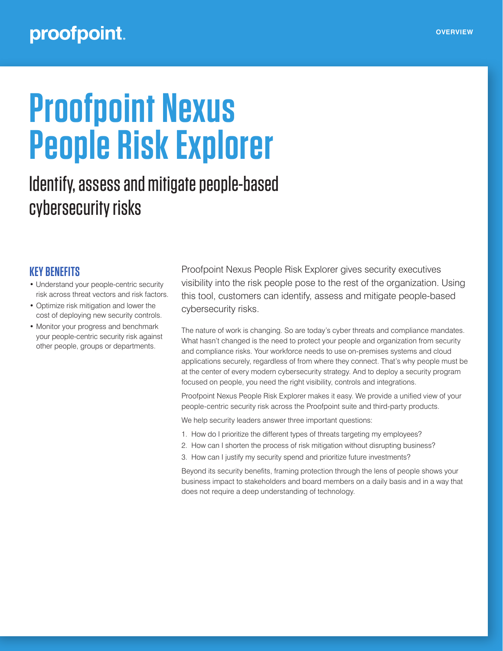## proofpoint.

# **Proofpoint Nexus People Risk Explorer**

# Identify, assess and mitigate people-based cybersecurity risks

## **KEY BENEFITS**

- Understand your people-centric security risk across threat vectors and risk factors.
- Optimize risk mitigation and lower the cost of deploying new security controls.
- Monitor your progress and benchmark your people-centric security risk against other people, groups or departments.

Proofpoint Nexus People Risk Explorer gives security executives visibility into the risk people pose to the rest of the organization. Using this tool, customers can identify, assess and mitigate people-based cybersecurity risks.

The nature of work is changing. So are today's cyber threats and compliance mandates. What hasn't changed is the need to protect your people and organization from security and compliance risks. Your workforce needs to use on-premises systems and cloud applications securely, regardless of from where they connect. That's why people must be at the center of every modern cybersecurity strategy. And to deploy a security program focused on people, you need the right visibility, controls and integrations.

Proofpoint Nexus People Risk Explorer makes it easy. We provide a unified view of your people-centric security risk across the Proofpoint suite and third-party products.

We help security leaders answer three important questions:

- 1. How do I prioritize the different types of threats targeting my employees?
- 2. How can I shorten the process of risk mitigation without disrupting business?
- 3. How can I justify my security spend and prioritize future investments?

Beyond its security benefits, framing protection through the lens of people shows your business impact to stakeholders and board members on a daily basis and in a way that does not require a deep understanding of technology.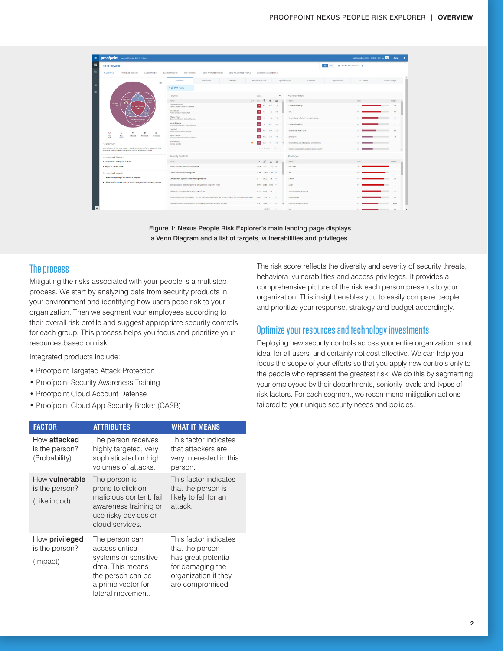| proofpoint. Nexus People Risk Explorer                                                                                                                                       |                                                                                                                                       |                           |                                    |                                                   |                                           |                    | Lest Coloulation of Nisk: 3/15/21, 10:27 AM 4 | Acme             |
|------------------------------------------------------------------------------------------------------------------------------------------------------------------------------|---------------------------------------------------------------------------------------------------------------------------------------|---------------------------|------------------------------------|---------------------------------------------------|-------------------------------------------|--------------------|-----------------------------------------------|------------------|
| O M . O BANNAH S/15/2021 E<br><b>DASHBOARD</b>                                                                                                                               |                                                                                                                                       |                           |                                    |                                                   |                                           |                    |                                               |                  |
| ALL PEOPLE<br><b><i>BUNINENT TARGETS</i></b><br><b>MAJOR TARGETS</b>                                                                                                         | LATENT TARGETS<br>SOFT TARGETS<br><b>VERY ATTACKED PEOPLE</b><br>VERY VULNERABLE PEOPLE                                               | YERY PRIVILEGED PEOPLE    |                                    |                                                   |                                           |                    |                                               |                  |
| $\equiv$                                                                                                                                                                     | Overview<br><b>Newcones</b><br>Dentor by                                                                                              | <b>Business Function</b>  |                                    | Special Groups                                    | Countries                                 | <b>Departments</b> | AD O'LLOS                                     | Custom Greage    |
|                                                                                                                                                                              | 19,721 TOTAL                                                                                                                          |                           |                                    |                                                   |                                           |                    |                                               |                  |
| m<br>1,977<br>78,727<br>mmert liagut<br>220<br>n an<br>13,182<br>4.1<br>к<br>÷<br>츺<br>×<br>ma<br>Roc<br>Attacked<br>Privileged<br><b>Vyherate</b><br>Lanet<br><b>Median</b> | Targets                                                                                                                               | Search.                   | Q<br>Vulnerabilities               |                                                   |                                           |                    |                                               |                  |
|                                                                                                                                                                              | Navya                                                                                                                                 | VIP RHL                   | 作                                  | Name                                              |                                           |                    | $F_2$ sh                                      | Percie.          |
|                                                                                                                                                                              | Carmina Bowman<br>Payroll Services Senior LE Generalist                                                                               |                           | 94 75                              | <b>Cloker winerability</b>                        |                                           |                    |                                               | 31               |
|                                                                                                                                                                              | <b>Tile Brower</b><br>Payot Services HR Consultant                                                                                    | مما<br>$9.1$ $0.2$ $7.5$  |                                    | <b>SPAc</b>                                       |                                           |                    |                                               | $-14$            |
|                                                                                                                                                                              | Afgene Pena<br>Dependent, Strategic Meeting Planning                                                                                  |                           | 62, 75                             |                                                   | Encompleted or falled Phishing Simulation |                    |                                               | $-0.56$<br>mar 1 |
|                                                                                                                                                                              | Verifia Delacruz<br>District Sales Manager - SMB Sciutions                                                                            |                           | $67 - 65$                          | Cloker winerability                               |                                           |                    |                                               | 167              |
|                                                                                                                                                                              | Hing Kach<br>Payroll Services Region Manager                                                                                          | 98                        | 99 35                              | <b>Email &amp; Credentals Leak</b>                |                                           |                    |                                               | $-95$            |
|                                                                                                                                                                              | Nyasa Fuertes<br>Development plan Cales Representative                                                                                | $9.2$ $7.5$ $9.9$         |                                    | <b>Brief Leak</b>                                 |                                           |                    |                                               | 188              |
| Description                                                                                                                                                                  | Note Pollar<br>٠<br><b>Director Benefits</b>                                                                                          | <b>KY</b><br>6.3<br>70    | 5.9                                | <b>Encompleted Avoid Enngerous Links training</b> |                                           |                    |                                               | m.<br>$\sim$     |
| All employees of the organization including members of Very Attacked, Very<br>Privileged and Very Vulnerable groups as well as all other people.                             |                                                                                                                                       | $1 - 25$ of 11721         | $\left\langle \quad \right\rangle$ | liser's most comman location is a risky country   |                                           |                    |                                               | $\sim$           |
| Associated Threats                                                                                                                                                           | Security Controls                                                                                                                     |                           |                                    | Privileges                                        |                                           |                    |                                               |                  |
| - Targeted and widespread attacks                                                                                                                                            | Name                                                                                                                                  | $V_1$ 29<br>$\mathcal{L}$ | $\mathbf{v}$                       | Narse                                             |                                           |                    | 16.6                                          | Perpie           |
| · Exploit of Vulnerabilities                                                                                                                                                 | Monitor deud accounts for compromise                                                                                                  | 0.026 2500 2107 0         |                                    | Executives                                        |                                           |                    |                                               |                  |
| Associated Intents<br>- Utilization of privileges for malicious purposes<br>. Utilization of trust relationships within the organic with business partners                   | Control cloud mail forwarding rules                                                                                                   | 0.109 12110 4160 0        |                                    | $16\%$                                            |                                           |                    |                                               | 777<br>m         |
|                                                                                                                                                                              | Consider more aggressive ernal filtering thresholds                                                                                   | 0.171 2500 126 0          |                                    | Einasce                                           |                                           |                    |                                               | 769              |
|                                                                                                                                                                              | Configure access restriction policy by Geo Locations or specific crigins                                                              | 0.007 2759 2977 0         |                                    | Legal                                             |                                           |                    |                                               |                  |
|                                                                                                                                                                              | Additional investigation due to account privileges                                                                                    | 0.166 0415 138 1          |                                    | <b>User Active Directory Group</b>                |                                           |                    |                                               | mr.<br>155       |
|                                                                                                                                                                              | Enable URL Defense Link Isolation - Revolte URL's within infound emails to redirect clicks to a Meb Isolation instance 0.207 1972 0 0 |                           |                                    | Custom Group                                      |                                           |                    |                                               | <b>ALL</b>       |
|                                                                                                                                                                              | Conduct Additional investigation as to why theses employees are most attacked                                                         | $0.19 - 1023 - 1$         |                                    | User Active Directory Group                       |                                           |                    |                                               | <b>Britis</b>    |
|                                                                                                                                                                              |                                                                                                                                       | $1 - 23$ of 25            | $\langle$ >                        | $15\%$                                            |                                           |                    |                                               | 21               |

Figure 1: Nexus People Risk Explorer's main landing page displays a Venn Diagram and a list of targets, vulnerabilities and privileges.

#### The process

Mitigating the risks associated with your people is a multistep process. We start by analyzing data from security products in your environment and identifying how users pose risk to your organization. Then we segment your employees according to their overall risk profile and suggest appropriate security controls for each group. This process helps you focus and prioritize your resources based on risk.

Integrated products include:

- Proofpoint Targeted Attack Protection
- Proofpoint Security Awareness Training
- Proofpoint Cloud Account Defense
- Proofpoint Cloud App Security Broker (CASB)

| <b>FACTOR</b>                                    | <b>ATTRIBUTES</b>                                                                                                                             | <b>WHAT IT MEANS</b>                                                                                                            |
|--------------------------------------------------|-----------------------------------------------------------------------------------------------------------------------------------------------|---------------------------------------------------------------------------------------------------------------------------------|
| How attacked<br>is the person?<br>(Probability)  | The person receives<br>highly targeted, very<br>sophisticated or high<br>volumes of attacks.                                                  | This factor indicates<br>that attackers are<br>very interested in this<br>person.                                               |
| How vulnerable<br>is the person?<br>(Likelihood) | The person is<br>prone to click on<br>malicious content, fail<br>awareness training or<br>use risky devices or<br>cloud services.             | This factor indicates<br>that the person is<br>likely to fall for an<br>attack.                                                 |
| How privileged<br>is the person?<br>(Impact)     | The person can<br>access critical<br>systems or sensitive<br>data. This means<br>the person can be<br>a prime vector for<br>lateral movement. | This factor indicates<br>that the person<br>has great potential<br>for damaging the<br>organization if they<br>are compromised. |

The risk score reflects the diversity and severity of security threats, behavioral vulnerabilities and access privileges. It provides a comprehensive picture of the risk each person presents to your organization. This insight enables you to easily compare people and prioritize your response, strategy and budget accordingly.

#### Optimize your resources and technology investments

Deploying new security controls across your entire organization is not ideal for all users, and certainly not cost effective. We can help you focus the scope of your efforts so that you apply new controls only to the people who represent the greatest risk. We do this by segmenting your employees by their departments, seniority levels and types of risk factors. For each segment, we recommend mitigation actions tailored to your unique security needs and policies.